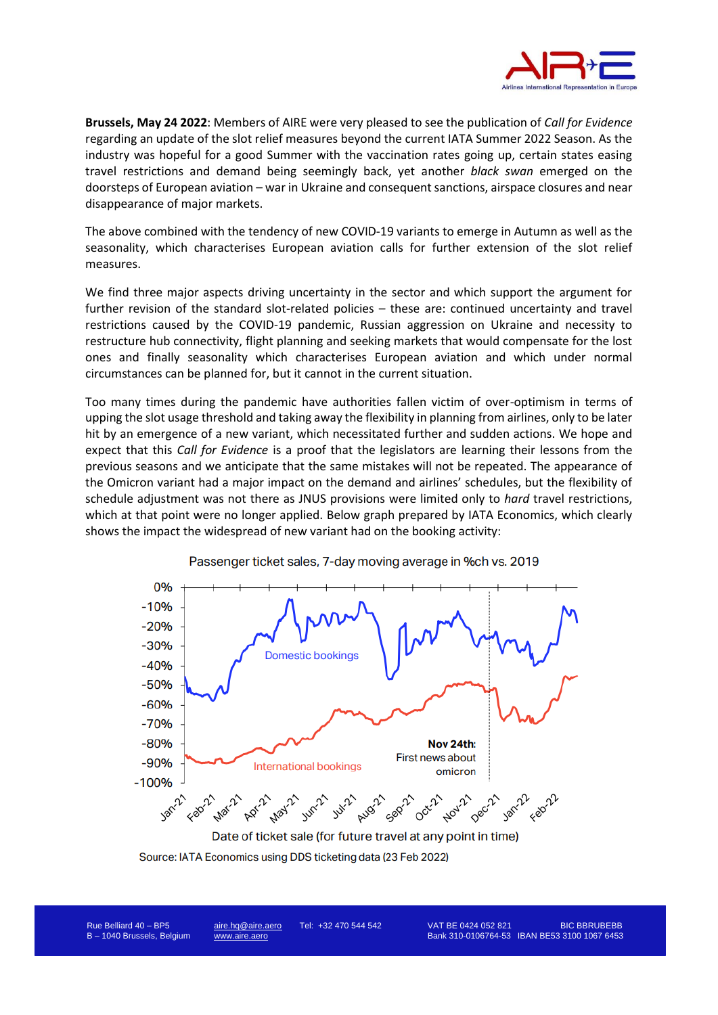

**Brussels, May 24 2022**: Members of AIRE were very pleased to see the publication of *Call for Evidence* regarding an update of the slot relief measures beyond the current IATA Summer 2022 Season. As the industry was hopeful for a good Summer with the vaccination rates going up, certain states easing travel restrictions and demand being seemingly back, yet another *black swan* emerged on the doorsteps of European aviation – war in Ukraine and consequent sanctions, airspace closures and near disappearance of major markets.

The above combined with the tendency of new COVID-19 variants to emerge in Autumn as well as the seasonality, which characterises European aviation calls for further extension of the slot relief measures.

We find three major aspects driving uncertainty in the sector and which support the argument for further revision of the standard slot-related policies – these are: continued uncertainty and travel restrictions caused by the COVID-19 pandemic, Russian aggression on Ukraine and necessity to restructure hub connectivity, flight planning and seeking markets that would compensate for the lost ones and finally seasonality which characterises European aviation and which under normal circumstances can be planned for, but it cannot in the current situation.

Too many times during the pandemic have authorities fallen victim of over-optimism in terms of upping the slot usage threshold and taking away the flexibility in planning from airlines, only to be later hit by an emergence of a new variant, which necessitated further and sudden actions. We hope and expect that this *Call for Evidence* is a proof that the legislators are learning their lessons from the previous seasons and we anticipate that the same mistakes will not be repeated. The appearance of the Omicron variant had a major impact on the demand and airlines' schedules, but the flexibility of schedule adjustment was not there as JNUS provisions were limited only to *hard* travel restrictions, which at that point were no longer applied. Below graph prepared by IATA Economics, which clearly shows the impact the widespread of new variant had on the booking activity:



Passenger ticket sales, 7-day moving average in %ch vs. 2019

Source: IATA Economics using DDS ticketing data (23 Feb 2022)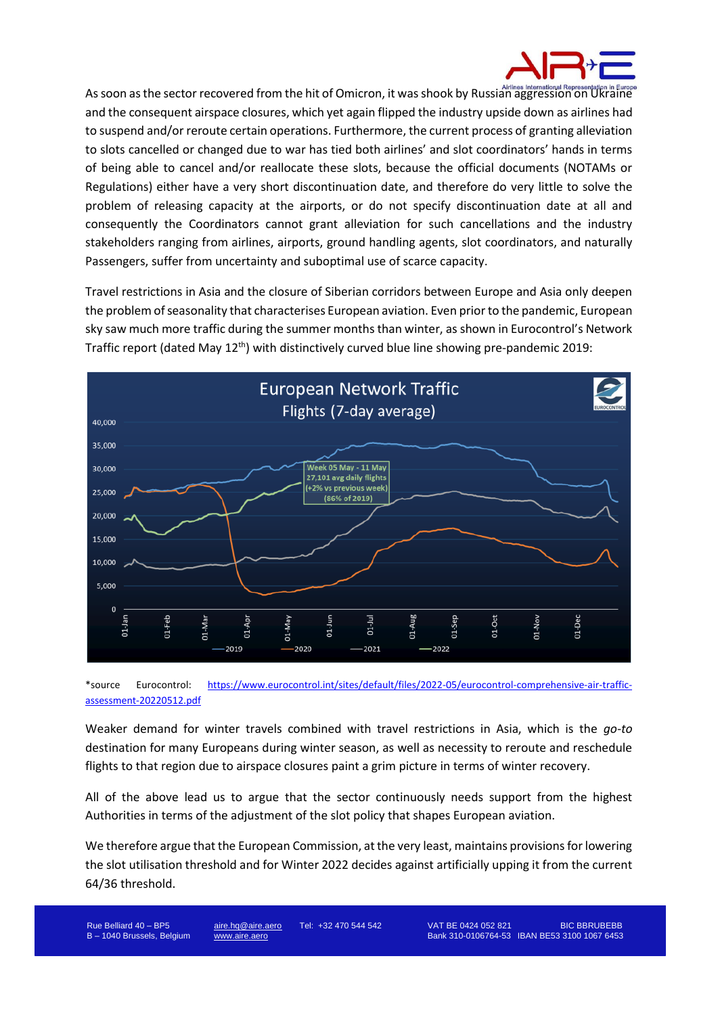

As soon as the sector recovered from the hit of Omicron, it was shook by Russian aggression on Ukraine and the consequent airspace closures, which yet again flipped the industry upside down as airlines had to suspend and/or reroute certain operations. Furthermore, the current process of granting alleviation to slots cancelled or changed due to war has tied both airlines' and slot coordinators' hands in terms of being able to cancel and/or reallocate these slots, because the official documents (NOTAMs or Regulations) either have a very short discontinuation date, and therefore do very little to solve the problem of releasing capacity at the airports, or do not specify discontinuation date at all and consequently the Coordinators cannot grant alleviation for such cancellations and the industry stakeholders ranging from airlines, airports, ground handling agents, slot coordinators, and naturally Passengers, suffer from uncertainty and suboptimal use of scarce capacity.

Travel restrictions in Asia and the closure of Siberian corridors between Europe and Asia only deepen the problem of seasonality that characterises European aviation. Even prior to the pandemic, European sky saw much more traffic during the summer months than winter, as shown in Eurocontrol's Network Traffic report (dated May 12<sup>th</sup>) with distinctively curved blue line showing pre-pandemic 2019:



\*source Eurocontrol: [https://www.eurocontrol.int/sites/default/files/2022-05/eurocontrol-comprehensive-air-traffic](https://www.eurocontrol.int/sites/default/files/2022-05/eurocontrol-comprehensive-air-traffic-assessment-20220512.pdf)[assessment-20220512.pdf](https://www.eurocontrol.int/sites/default/files/2022-05/eurocontrol-comprehensive-air-traffic-assessment-20220512.pdf)

Weaker demand for winter travels combined with travel restrictions in Asia, which is the *go-to* destination for many Europeans during winter season, as well as necessity to reroute and reschedule flights to that region due to airspace closures paint a grim picture in terms of winter recovery.

All of the above lead us to argue that the sector continuously needs support from the highest Authorities in terms of the adjustment of the slot policy that shapes European aviation.

We therefore argue that the European Commission, at the very least, maintains provisions for lowering the slot utilisation threshold and for Winter 2022 decides against artificially upping it from the current 64/36 threshold.